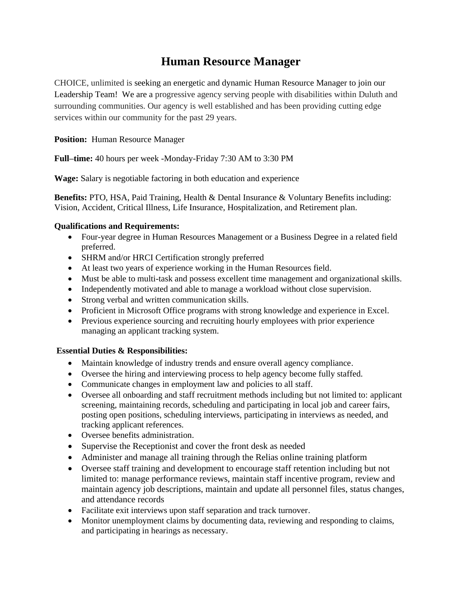## **Human Resource Manager**

CHOICE, unlimited is seeking an energetic and dynamic Human Resource Manager to join our Leadership Team! We are a progressive agency serving people with disabilities within Duluth and surrounding communities. Our agency is well established and has been providing cutting edge services within our community for the past 29 years.

**Position:** Human Resource Manager

**Full–time:** 40 hours per week -Monday-Friday 7:30 AM to 3:30 PM

**Wage:** Salary is negotiable factoring in both education and experience

**Benefits:** PTO, HSA, Paid Training, Health & Dental Insurance & Voluntary Benefits including: Vision, Accident, Critical Illness, Life Insurance, Hospitalization, and Retirement plan.

## **Qualifications and Requirements:**

- Four-year degree in Human Resources Management or a Business Degree in a related field preferred.
- SHRM and/or HRCI Certification strongly preferred
- At least two years of experience working in the Human Resources field.
- Must be able to multi-task and possess excellent time management and organizational skills.
- Independently motivated and able to manage a workload without close supervision.
- Strong verbal and written communication skills.
- Proficient in Microsoft Office programs with strong knowledge and experience in Excel.
- Previous experience sourcing and recruiting hourly employees with prior experience managing an applicant tracking system.

## **Essential Duties & Responsibilities:**

- Maintain knowledge of industry trends and ensure overall agency compliance.
- Oversee the hiring and interviewing process to help agency become fully staffed.
- Communicate changes in employment law and policies to all staff.
- Oversee all onboarding and staff recruitment methods including but not limited to: applicant screening, maintaining records, scheduling and participating in local job and career fairs, posting open positions, scheduling interviews, participating in interviews as needed, and tracking applicant references.
- Oversee benefits administration.
- Supervise the Receptionist and cover the front desk as needed
- Administer and manage all training through the Relias online training platform
- Oversee staff training and development to encourage staff retention including but not limited to: manage performance reviews, maintain staff incentive program, review and maintain agency job descriptions, maintain and update all personnel files, status changes, and attendance records
- Facilitate exit interviews upon staff separation and track turnover.
- Monitor unemployment claims by documenting data, reviewing and responding to claims, and participating in hearings as necessary.